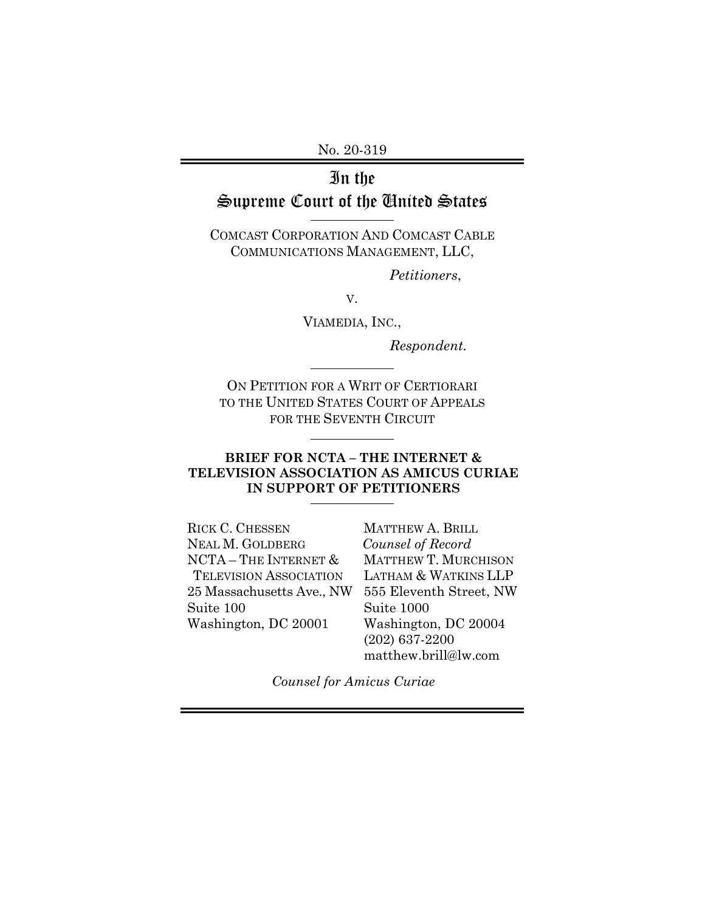No. 20-319

# In the Supreme Court of the United States

COMCAST CORPORATION AND COMCAST CABLE COMMUNICATIONS MANAGEMENT, LLC,

*Petitioners*,

V.

VIAMEDIA, INC.,

*Respondent.* 

ON PETITION FOR A WRIT OF CERTIORARI TO THE UNITED STATES COURT OF APPEALS FOR THE SEVENTH CIRCUIT

 $\overline{a}$ 

 $\overline{a}$ 

#### **BRIEF FOR NCTA – THE INTERNET & TELEVISION ASSOCIATION AS AMICUS CURIAE IN SUPPORT OF PETITIONERS**

RICK C. CHESSEN NEAL M. GOLDBERG NCTA – THE INTERNET & TELEVISION ASSOCIATION 25 Massachusetts Ave., NW Suite 100 Washington, DC 20001

MATTHEW A. BRILL *Counsel of Record*  MATTHEW T. MURCHISON LATHAM & WATKINS LLP 555 Eleventh Street, NW Suite 1000 Washington, DC 20004 (202) 637-2200 matthew.brill@lw.com

*Counsel for Amicus Curiae*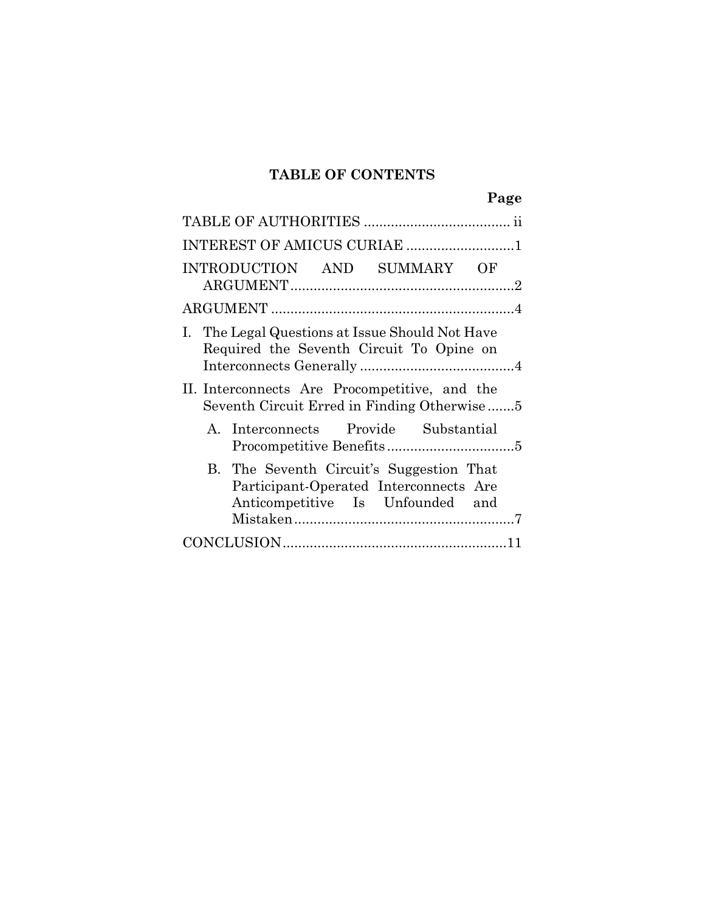## **TABLE OF CONTENTS**

|--|

| INTEREST OF AMICUS CURIAE 1                                                                                            |  |  |
|------------------------------------------------------------------------------------------------------------------------|--|--|
| INTRODUCTION AND SUMMARY OF                                                                                            |  |  |
|                                                                                                                        |  |  |
| I. The Legal Questions at Issue Should Not Have<br>Required the Seventh Circuit To Opine on                            |  |  |
| II. Interconnects Are Procompetitive, and the<br>Seventh Circuit Erred in Finding Otherwise                            |  |  |
| A. Interconnects Provide Substantial                                                                                   |  |  |
| B. The Seventh Circuit's Suggestion That<br>Participant-Operated Interconnects Are<br>Anticompetitive Is Unfounded and |  |  |
|                                                                                                                        |  |  |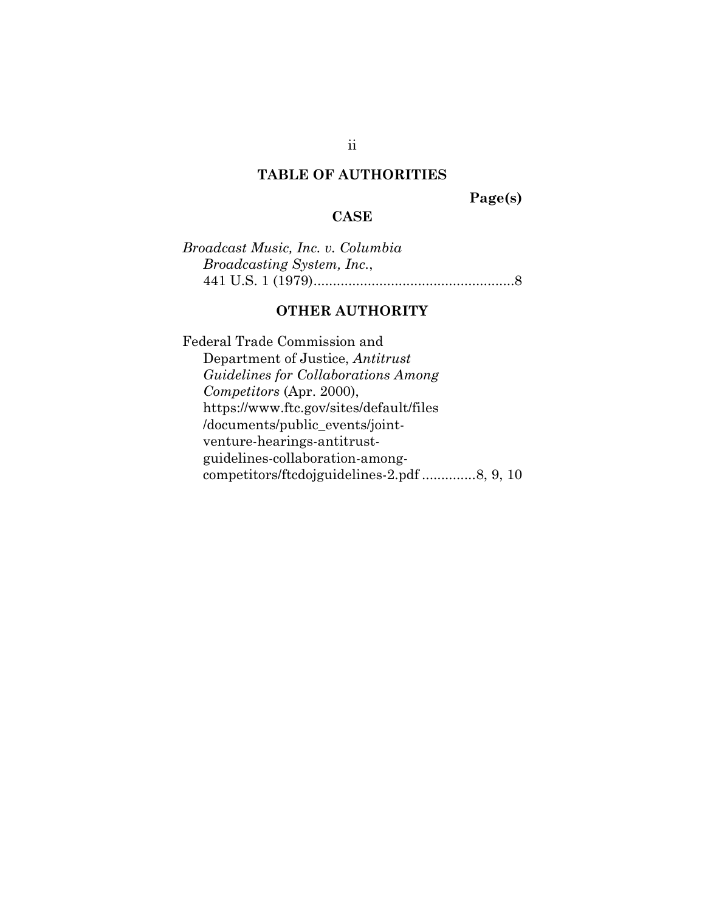#### **TABLE OF AUTHORITIES**

**Page(s)** 

#### **CASE**

*Broadcast Music, Inc. v. Columbia Broadcasting System, Inc.*, 441 U.S. 1 (1979) .................................................... 8

## **OTHER AUTHORITY**

Federal Trade Commission and Department of Justice, *Antitrust Guidelines for Collaborations Among Competitors* (Apr. 2000), https://www.ftc.gov/sites/default/files /documents/public\_events/jointventure-hearings-antitrustguidelines-collaboration-amongcompetitors/ftcdojguidelines-2.pdf .............. 8, 9, 10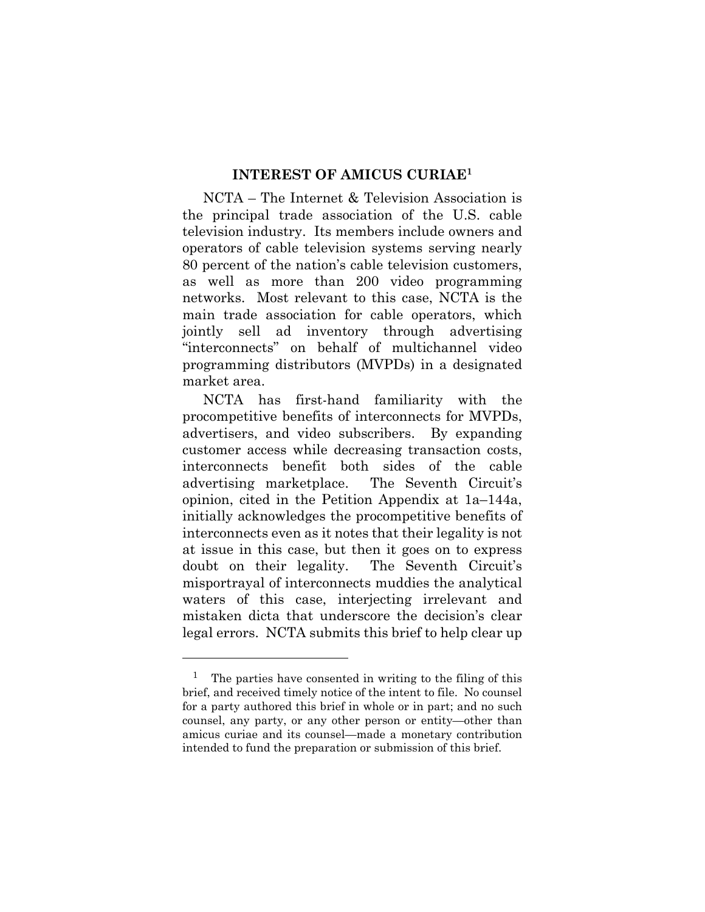#### **INTEREST OF AMICUS CURIAE1**

NCTA – The Internet & Television Association is the principal trade association of the U.S. cable television industry. Its members include owners and operators of cable television systems serving nearly 80 percent of the nation's cable television customers, as well as more than 200 video programming networks. Most relevant to this case, NCTA is the main trade association for cable operators, which jointly sell ad inventory through advertising "interconnects" on behalf of multichannel video programming distributors (MVPDs) in a designated market area.

NCTA has first-hand familiarity with the procompetitive benefits of interconnects for MVPDs, advertisers, and video subscribers. By expanding customer access while decreasing transaction costs, interconnects benefit both sides of the cable advertising marketplace. The Seventh Circuit's opinion, cited in the Petition Appendix at 1a–144a, initially acknowledges the procompetitive benefits of interconnects even as it notes that their legality is not at issue in this case, but then it goes on to express doubt on their legality. The Seventh Circuit's misportrayal of interconnects muddies the analytical waters of this case, interjecting irrelevant and mistaken dicta that underscore the decision's clear legal errors. NCTA submits this brief to help clear up

l

<sup>&</sup>lt;sup>1</sup> The parties have consented in writing to the filing of this brief, and received timely notice of the intent to file. No counsel for a party authored this brief in whole or in part; and no such counsel, any party, or any other person or entity—other than amicus curiae and its counsel—made a monetary contribution intended to fund the preparation or submission of this brief.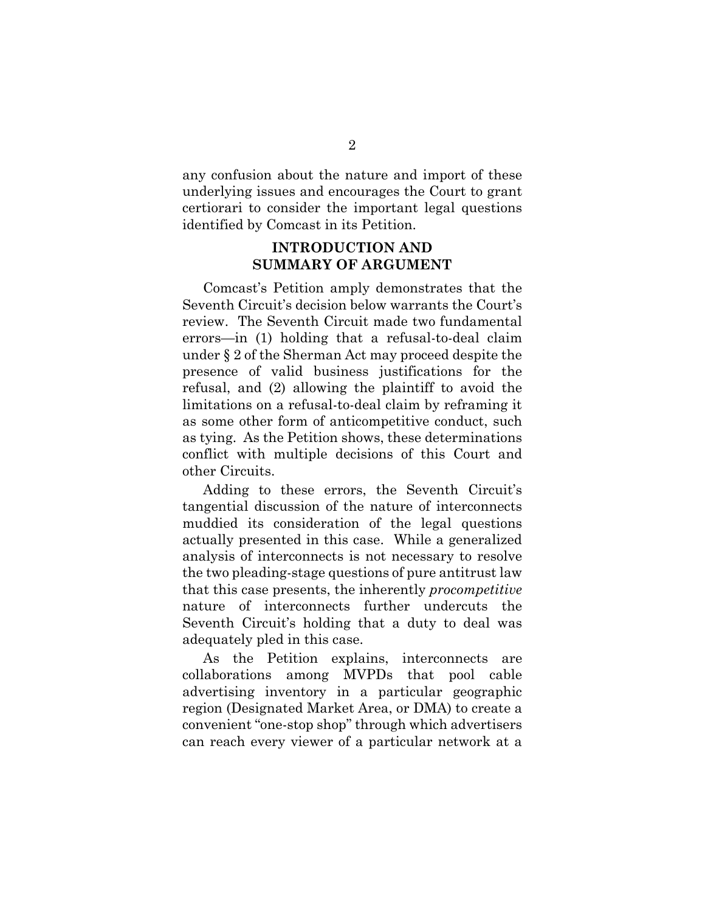any confusion about the nature and import of these underlying issues and encourages the Court to grant certiorari to consider the important legal questions identified by Comcast in its Petition.

#### **INTRODUCTION AND SUMMARY OF ARGUMENT**

Comcast's Petition amply demonstrates that the Seventh Circuit's decision below warrants the Court's review. The Seventh Circuit made two fundamental errors—in (1) holding that a refusal-to-deal claim under § 2 of the Sherman Act may proceed despite the presence of valid business justifications for the refusal, and (2) allowing the plaintiff to avoid the limitations on a refusal-to-deal claim by reframing it as some other form of anticompetitive conduct, such as tying. As the Petition shows, these determinations conflict with multiple decisions of this Court and other Circuits.

Adding to these errors, the Seventh Circuit's tangential discussion of the nature of interconnects muddied its consideration of the legal questions actually presented in this case. While a generalized analysis of interconnects is not necessary to resolve the two pleading-stage questions of pure antitrust law that this case presents, the inherently *procompetitive* nature of interconnects further undercuts the Seventh Circuit's holding that a duty to deal was adequately pled in this case.

As the Petition explains, interconnects are collaborations among MVPDs that pool cable advertising inventory in a particular geographic region (Designated Market Area, or DMA) to create a convenient "one-stop shop" through which advertisers can reach every viewer of a particular network at a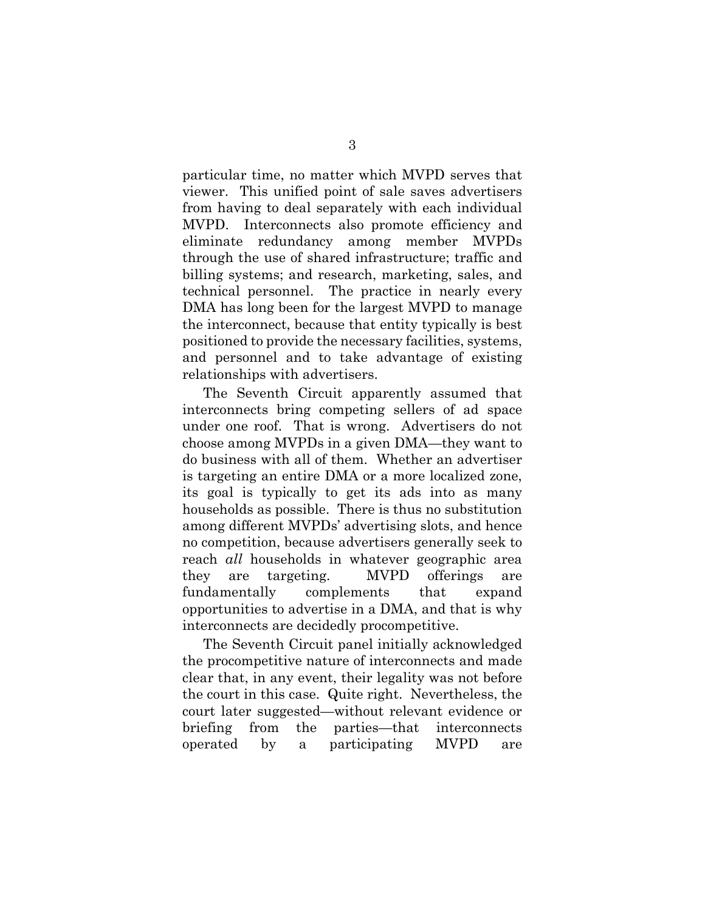particular time, no matter which MVPD serves that viewer. This unified point of sale saves advertisers from having to deal separately with each individual MVPD. Interconnects also promote efficiency and eliminate redundancy among member MVPDs through the use of shared infrastructure; traffic and billing systems; and research, marketing, sales, and technical personnel. The practice in nearly every DMA has long been for the largest MVPD to manage the interconnect, because that entity typically is best positioned to provide the necessary facilities, systems, and personnel and to take advantage of existing relationships with advertisers.

The Seventh Circuit apparently assumed that interconnects bring competing sellers of ad space under one roof. That is wrong. Advertisers do not choose among MVPDs in a given DMA—they want to do business with all of them. Whether an advertiser is targeting an entire DMA or a more localized zone, its goal is typically to get its ads into as many households as possible. There is thus no substitution among different MVPDs' advertising slots, and hence no competition, because advertisers generally seek to reach *all* households in whatever geographic area they are targeting. MVPD offerings are fundamentally complements that expand opportunities to advertise in a DMA, and that is why interconnects are decidedly procompetitive.

The Seventh Circuit panel initially acknowledged the procompetitive nature of interconnects and made clear that, in any event, their legality was not before the court in this case. Quite right. Nevertheless, the court later suggested—without relevant evidence or briefing from the parties—that interconnects operated by a participating MVPD are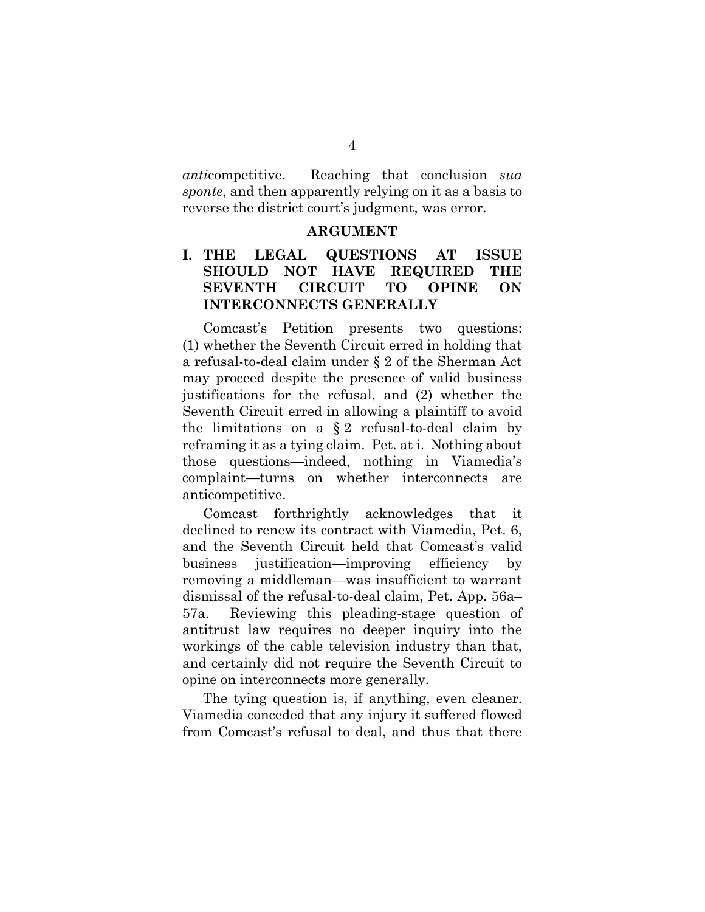*anti*competitive. Reaching that conclusion *sua sponte*, and then apparently relying on it as a basis to reverse the district court's judgment, was error.

#### **ARGUMENT**

### **I. THE LEGAL QUESTIONS AT ISSUE SHOULD NOT HAVE REQUIRED THE SEVENTH CIRCUIT TO OPINE ON INTERCONNECTS GENERALLY**

Comcast's Petition presents two questions: (1) whether the Seventh Circuit erred in holding that a refusal-to-deal claim under § 2 of the Sherman Act may proceed despite the presence of valid business justifications for the refusal, and (2) whether the Seventh Circuit erred in allowing a plaintiff to avoid the limitations on a § 2 refusal-to-deal claim by reframing it as a tying claim. Pet. at i. Nothing about those questions—indeed, nothing in Viamedia's complaint—turns on whether interconnects are anticompetitive.

Comcast forthrightly acknowledges that it declined to renew its contract with Viamedia, Pet. 6, and the Seventh Circuit held that Comcast's valid business justification—improving efficiency by removing a middleman—was insufficient to warrant dismissal of the refusal-to-deal claim, Pet. App. 56a– 57a. Reviewing this pleading-stage question of antitrust law requires no deeper inquiry into the workings of the cable television industry than that, and certainly did not require the Seventh Circuit to opine on interconnects more generally.

The tying question is, if anything, even cleaner. Viamedia conceded that any injury it suffered flowed from Comcast's refusal to deal, and thus that there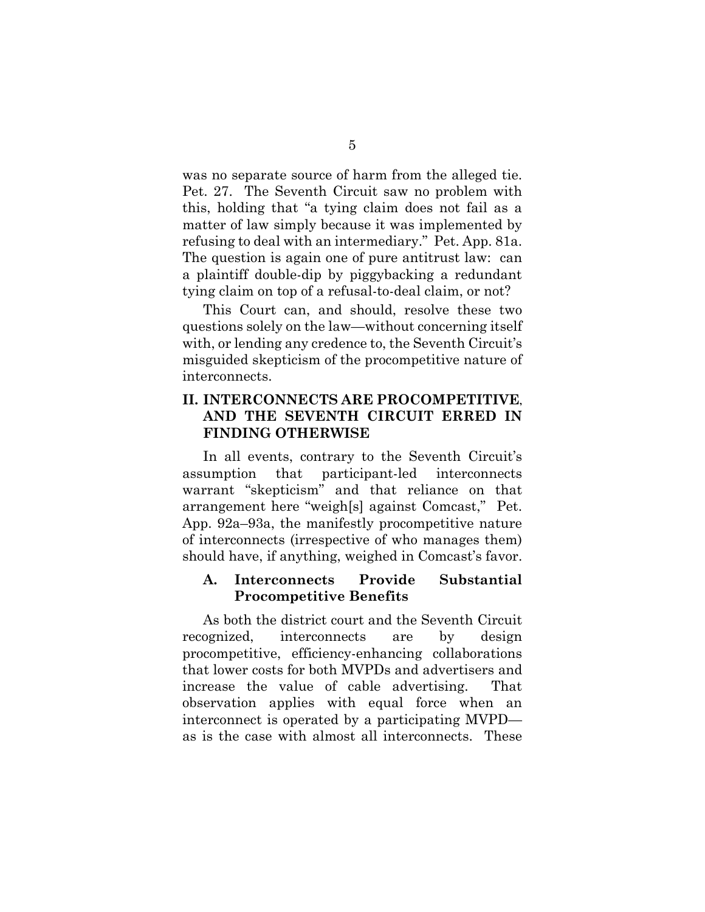was no separate source of harm from the alleged tie. Pet. 27. The Seventh Circuit saw no problem with this, holding that "a tying claim does not fail as a matter of law simply because it was implemented by refusing to deal with an intermediary." Pet. App. 81a. The question is again one of pure antitrust law: can a plaintiff double-dip by piggybacking a redundant tying claim on top of a refusal-to-deal claim, or not?

This Court can, and should, resolve these two questions solely on the law—without concerning itself with, or lending any credence to, the Seventh Circuit's misguided skepticism of the procompetitive nature of interconnects.

### **II. INTERCONNECTS ARE PROCOMPETITIVE, AND THE SEVENTH CIRCUIT ERRED IN FINDING OTHERWISE**

In all events, contrary to the Seventh Circuit's assumption that participant-led interconnects warrant "skepticism" and that reliance on that arrangement here "weigh[s] against Comcast," Pet. App. 92a–93a, the manifestly procompetitive nature of interconnects (irrespective of who manages them) should have, if anything, weighed in Comcast's favor.

#### **A. Interconnects Provide Substantial Procompetitive Benefits**

As both the district court and the Seventh Circuit recognized, interconnects are by design procompetitive, efficiency-enhancing collaborations that lower costs for both MVPDs and advertisers and increase the value of cable advertising. That observation applies with equal force when an interconnect is operated by a participating MVPD as is the case with almost all interconnects. These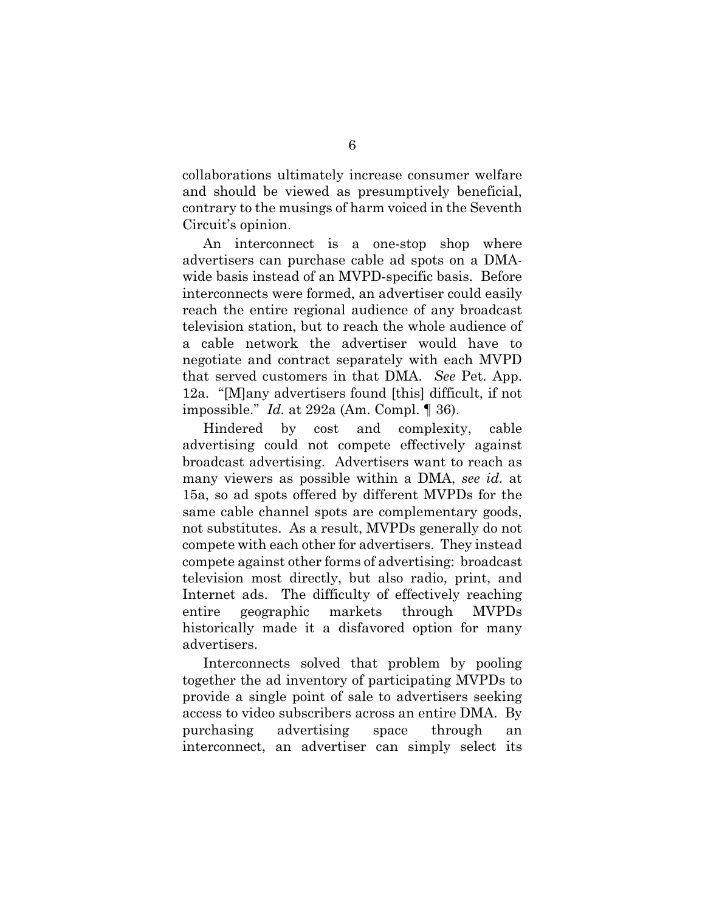collaborations ultimately increase consumer welfare and should be viewed as presumptively beneficial, contrary to the musings of harm voiced in the Seventh Circuit's opinion.

An interconnect is a one-stop shop where advertisers can purchase cable ad spots on a DMAwide basis instead of an MVPD-specific basis. Before interconnects were formed, an advertiser could easily reach the entire regional audience of any broadcast television station, but to reach the whole audience of a cable network the advertiser would have to negotiate and contract separately with each MVPD that served customers in that DMA. *See* Pet. App. 12a. "[M]any advertisers found [this] difficult, if not impossible." *Id.* at 292a (Am. Compl. ¶ 36).

Hindered by cost and complexity, cable advertising could not compete effectively against broadcast advertising. Advertisers want to reach as many viewers as possible within a DMA, *see id.* at 15a, so ad spots offered by different MVPDs for the same cable channel spots are complementary goods, not substitutes. As a result, MVPDs generally do not compete with each other for advertisers. They instead compete against other forms of advertising: broadcast television most directly, but also radio, print, and Internet ads. The difficulty of effectively reaching entire geographic markets through MVPDs historically made it a disfavored option for many advertisers.

Interconnects solved that problem by pooling together the ad inventory of participating MVPDs to provide a single point of sale to advertisers seeking access to video subscribers across an entire DMA. By purchasing advertising space through an interconnect, an advertiser can simply select its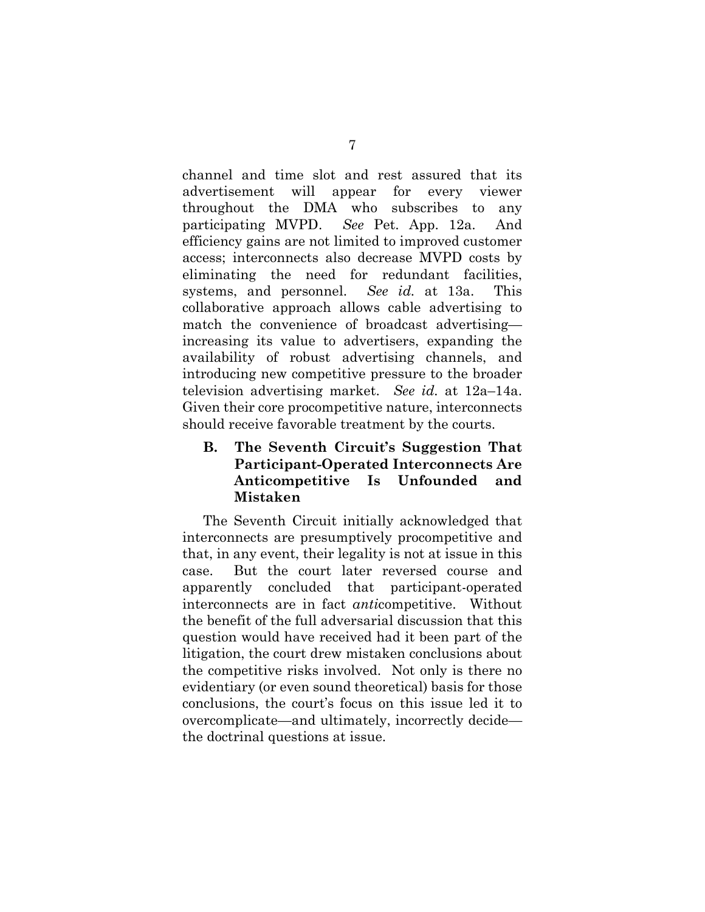channel and time slot and rest assured that its advertisement will appear for every viewer throughout the DMA who subscribes to any participating MVPD. *See* Pet. App. 12a. And efficiency gains are not limited to improved customer access; interconnects also decrease MVPD costs by eliminating the need for redundant facilities, systems, and personnel. *See id.* at 13a. This collaborative approach allows cable advertising to match the convenience of broadcast advertising increasing its value to advertisers, expanding the availability of robust advertising channels, and introducing new competitive pressure to the broader television advertising market. *See id.* at 12a–14a. Given their core procompetitive nature, interconnects should receive favorable treatment by the courts.

## **B. The Seventh Circuit's Suggestion That Participant-Operated Interconnects Are Anticompetitive Is Unfounded and Mistaken**

The Seventh Circuit initially acknowledged that interconnects are presumptively procompetitive and that, in any event, their legality is not at issue in this case. But the court later reversed course and apparently concluded that participant-operated interconnects are in fact *anti*competitive. Without the benefit of the full adversarial discussion that this question would have received had it been part of the litigation, the court drew mistaken conclusions about the competitive risks involved. Not only is there no evidentiary (or even sound theoretical) basis for those conclusions, the court's focus on this issue led it to overcomplicate—and ultimately, incorrectly decide the doctrinal questions at issue.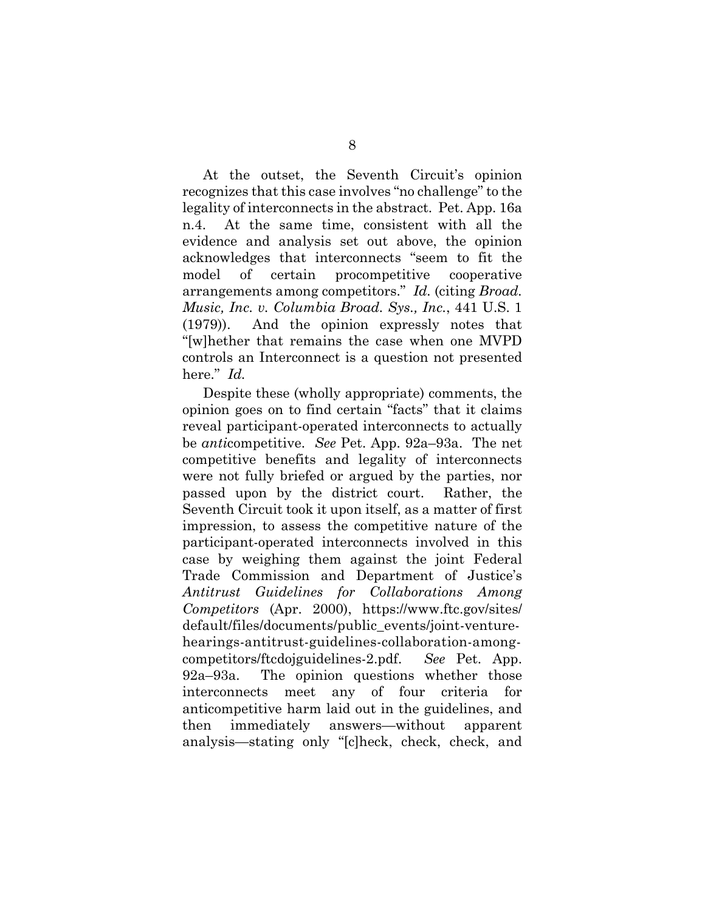At the outset, the Seventh Circuit's opinion recognizes that this case involves "no challenge" to the legality of interconnects in the abstract. Pet. App. 16a n.4. At the same time, consistent with all the evidence and analysis set out above, the opinion acknowledges that interconnects "seem to fit the model of certain procompetitive cooperative arrangements among competitors." *Id.* (citing *Broad. Music, Inc. v. Columbia Broad. Sys., Inc.*, 441 U.S. 1 (1979)). And the opinion expressly notes that "[w]hether that remains the case when one MVPD controls an Interconnect is a question not presented here." *Id.*

Despite these (wholly appropriate) comments, the opinion goes on to find certain "facts" that it claims reveal participant-operated interconnects to actually be *anti*competitive. *See* Pet. App. 92a–93a. The net competitive benefits and legality of interconnects were not fully briefed or argued by the parties, nor passed upon by the district court. Rather, the Seventh Circuit took it upon itself, as a matter of first impression, to assess the competitive nature of the participant-operated interconnects involved in this case by weighing them against the joint Federal Trade Commission and Department of Justice's *Antitrust Guidelines for Collaborations Among Competitors* (Apr. 2000), https://www.ftc.gov/sites/ default/files/documents/public\_events/joint-venturehearings-antitrust-guidelines-collaboration-amongcompetitors/ftcdojguidelines-2.pdf. *See* Pet. App. 92a–93a. The opinion questions whether those interconnects meet any of four criteria for anticompetitive harm laid out in the guidelines, and then immediately answers—without apparent analysis—stating only "[c]heck, check, check, and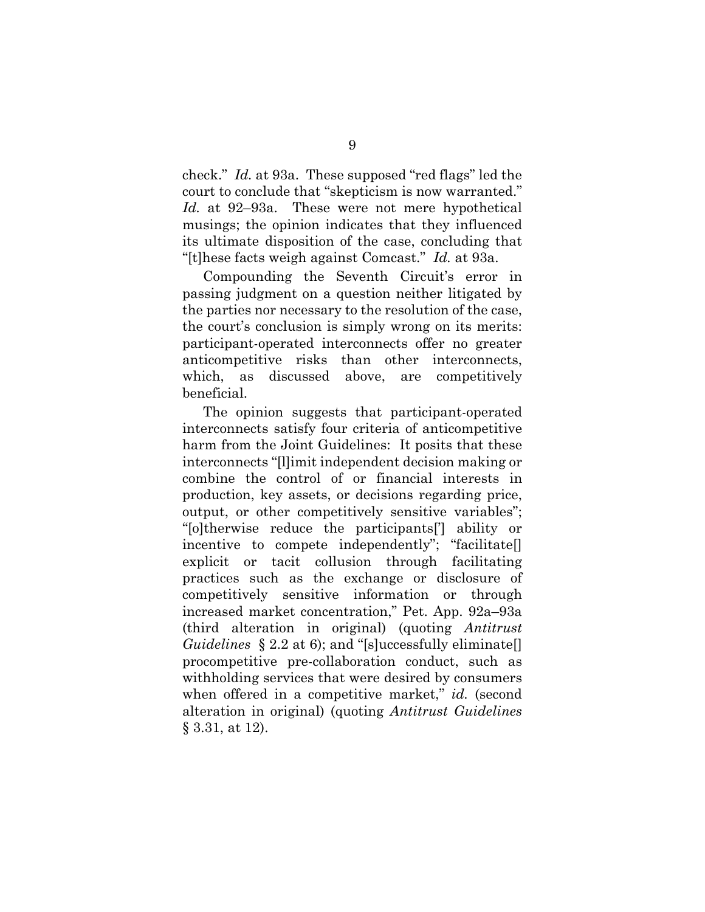check." *Id.* at 93a. These supposed "red flags" led the court to conclude that "skepticism is now warranted." *Id.* at 92–93a. These were not mere hypothetical musings; the opinion indicates that they influenced its ultimate disposition of the case, concluding that "[t]hese facts weigh against Comcast." *Id.* at 93a.

Compounding the Seventh Circuit's error in passing judgment on a question neither litigated by the parties nor necessary to the resolution of the case, the court's conclusion is simply wrong on its merits: participant-operated interconnects offer no greater anticompetitive risks than other interconnects, which, as discussed above, are competitively beneficial.

The opinion suggests that participant-operated interconnects satisfy four criteria of anticompetitive harm from the Joint Guidelines: It posits that these interconnects "[l]imit independent decision making or combine the control of or financial interests in production, key assets, or decisions regarding price, output, or other competitively sensitive variables"; "[o]therwise reduce the participants['] ability or incentive to compete independently"; "facilitate[] explicit or tacit collusion through facilitating practices such as the exchange or disclosure of competitively sensitive information or through increased market concentration," Pet. App. 92a–93a (third alteration in original) (quoting *Antitrust Guidelines* § 2.2 at 6); and "[s]uccessfully eliminate[] procompetitive pre-collaboration conduct, such as withholding services that were desired by consumers when offered in a competitive market," *id.* (second alteration in original) (quoting *Antitrust Guidelines*  § 3.31, at 12).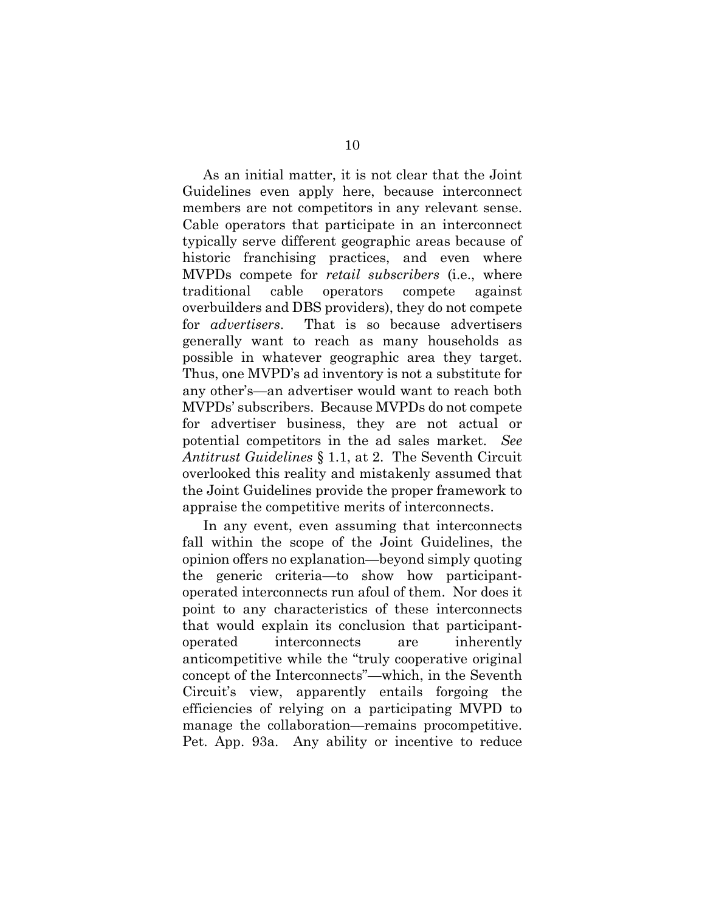As an initial matter, it is not clear that the Joint Guidelines even apply here, because interconnect members are not competitors in any relevant sense. Cable operators that participate in an interconnect typically serve different geographic areas because of historic franchising practices, and even where MVPDs compete for *retail subscribers* (i.e., where traditional cable operators compete against overbuilders and DBS providers), they do not compete for *advertisers*. That is so because advertisers generally want to reach as many households as possible in whatever geographic area they target. Thus, one MVPD's ad inventory is not a substitute for any other's—an advertiser would want to reach both MVPDs' subscribers. Because MVPDs do not compete for advertiser business, they are not actual or potential competitors in the ad sales market. *See Antitrust Guidelines* § 1.1, at 2. The Seventh Circuit overlooked this reality and mistakenly assumed that the Joint Guidelines provide the proper framework to appraise the competitive merits of interconnects.

In any event, even assuming that interconnects fall within the scope of the Joint Guidelines, the opinion offers no explanation—beyond simply quoting the generic criteria—to show how participantoperated interconnects run afoul of them. Nor does it point to any characteristics of these interconnects that would explain its conclusion that participantoperated interconnects are inherently anticompetitive while the "truly cooperative original concept of the Interconnects"—which, in the Seventh Circuit's view, apparently entails forgoing the efficiencies of relying on a participating MVPD to manage the collaboration—remains procompetitive. Pet. App. 93a. Any ability or incentive to reduce